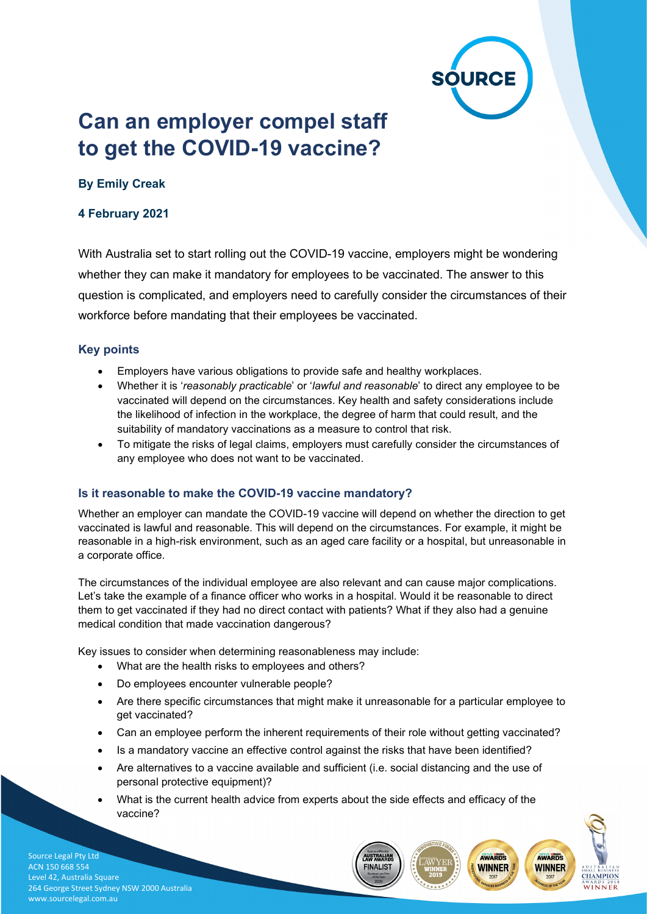

AWARDS

**WINNER** 

**CHAMPION** 

AWARDS **WINNER** 

# **Can an employer compel staff to get the COVID-19 vaccine?**

# **By Emily Creak**

## **4 February 2021**

With Australia set to start rolling out the COVID-19 vaccine, employers might be wondering whether they can make it mandatory for employees to be vaccinated. The answer to this question is complicated, and employers need to carefully consider the circumstances of their workforce before mandating that their employees be vaccinated.

#### **Key points**

- Employers have various obligations to provide safe and healthy workplaces.
- Whether it is '*reasonably practicable*' or '*lawful and reasonable*' to direct any employee to be vaccinated will depend on the circumstances. Key health and safety considerations include the likelihood of infection in the workplace, the degree of harm that could result, and the suitability of mandatory vaccinations as a measure to control that risk.
- To mitigate the risks of legal claims, employers must carefully consider the circumstances of any employee who does not want to be vaccinated.

#### **Is it reasonable to make the COVID-19 vaccine mandatory?**

Whether an employer can mandate the COVID-19 vaccine will depend on whether the direction to get vaccinated is lawful and reasonable. This will depend on the circumstances. For example, it might be reasonable in a high-risk environment, such as an aged care facility or a hospital, but unreasonable in a corporate office.

The circumstances of the individual employee are also relevant and can cause major complications. Let's take the example of a finance officer who works in a hospital. Would it be reasonable to direct them to get vaccinated if they had no direct contact with patients? What if they also had a genuine medical condition that made vaccination dangerous?

Key issues to consider when determining reasonableness may include:

- What are the health risks to employees and others?
- Do employees encounter vulnerable people?
- Are there specific circumstances that might make it unreasonable for a particular employee to get vaccinated?
- Can an employee perform the inherent requirements of their role without getting vaccinated?
- Is a mandatory vaccine an effective control against the risks that have been identified?
- Are alternatives to a vaccine available and sufficient (i.e. social distancing and the use of personal protective equipment)?
- What is the current health advice from experts about the side effects and efficacy of the vaccine?

**INALIS** 

Source Legal Pty Ltd ACN 150 668 554 Level 42, Australia Square 264 George Street Sydney NSW 2000 Australia www.sourcelegal.com.au